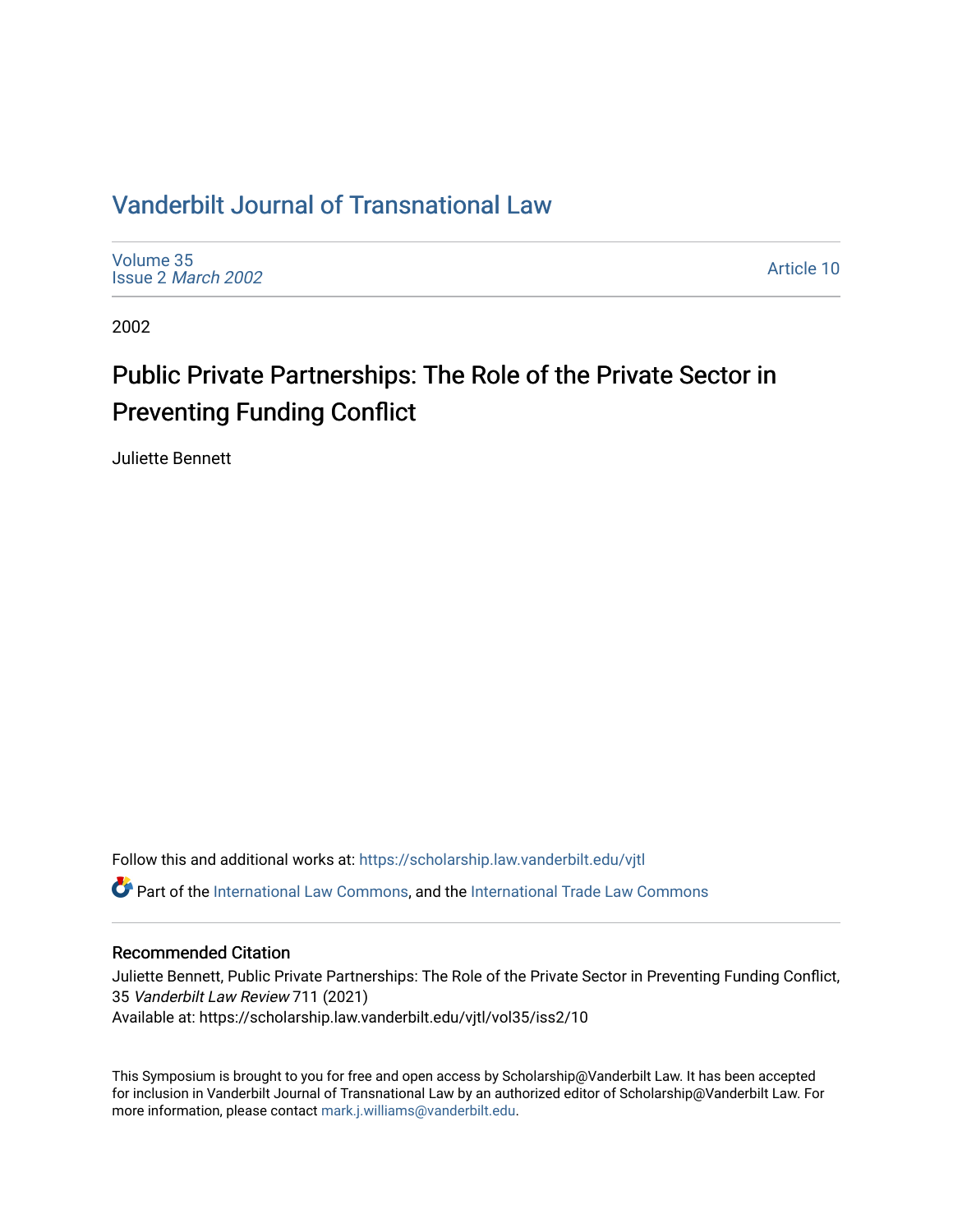## [Vanderbilt Journal of Transnational Law](https://scholarship.law.vanderbilt.edu/vjtl)

[Volume 35](https://scholarship.law.vanderbilt.edu/vjtl/vol35) Issue 2 [March 2002](https://scholarship.law.vanderbilt.edu/vjtl/vol35/iss2)

[Article 10](https://scholarship.law.vanderbilt.edu/vjtl/vol35/iss2/10) 

2002

# Public Private Partnerships: The Role of the Private Sector in Preventing Funding Conflict

Juliette Bennett

Follow this and additional works at: [https://scholarship.law.vanderbilt.edu/vjtl](https://scholarship.law.vanderbilt.edu/vjtl?utm_source=scholarship.law.vanderbilt.edu%2Fvjtl%2Fvol35%2Fiss2%2F10&utm_medium=PDF&utm_campaign=PDFCoverPages)  Part of the [International Law Commons,](http://network.bepress.com/hgg/discipline/609?utm_source=scholarship.law.vanderbilt.edu%2Fvjtl%2Fvol35%2Fiss2%2F10&utm_medium=PDF&utm_campaign=PDFCoverPages) and the [International Trade Law Commons](http://network.bepress.com/hgg/discipline/848?utm_source=scholarship.law.vanderbilt.edu%2Fvjtl%2Fvol35%2Fiss2%2F10&utm_medium=PDF&utm_campaign=PDFCoverPages) 

### Recommended Citation

Juliette Bennett, Public Private Partnerships: The Role of the Private Sector in Preventing Funding Conflict, 35 Vanderbilt Law Review 711 (2021) Available at: https://scholarship.law.vanderbilt.edu/vjtl/vol35/iss2/10

This Symposium is brought to you for free and open access by Scholarship@Vanderbilt Law. It has been accepted for inclusion in Vanderbilt Journal of Transnational Law by an authorized editor of Scholarship@Vanderbilt Law. For more information, please contact [mark.j.williams@vanderbilt.edu](mailto:mark.j.williams@vanderbilt.edu).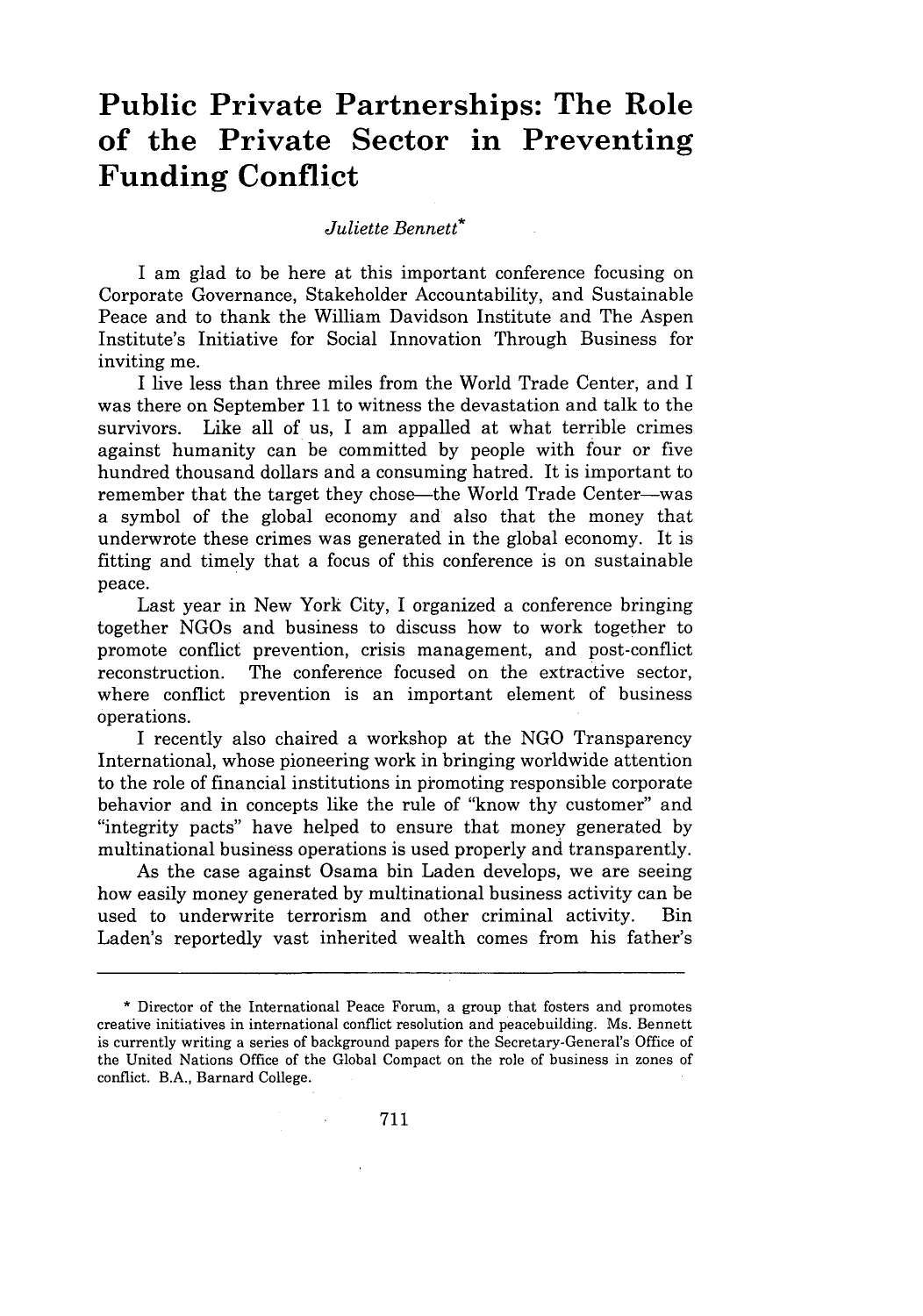## **Public Private Partnerships: The Role of the Private Sector in Preventing Funding Conflict**

#### *Juliette Bennett\**

I am glad to be here at this important conference focusing on Corporate Governance, Stakeholder Accountability, and Sustainable Peace and to thank the William Davidson Institute and The Aspen Institute's Initiative for Social Innovation Through Business for inviting me.

I live less than three miles from the World Trade Center, and I was there on September 11 to witness the devastation and talk to the survivors. Like all of us, I am appalled at what terrible crimes against humanity can be committed by people with four or five hundred thousand dollars and a consuming hatred. It is important to remember that the target they chose—the World Trade Center—was a symbol of the global economy and also that the money that underwrote these crimes was generated in the global economy. It is fitting and timely that a focus of this conference is on sustainable peace.

Last year in New York City, I organized a conference bringing together NGOs and business to discuss how to work together to promote conflict prevention, crisis management, and post-conflict reconstruction. The conference focused on the extractive sector, where conflict prevention is an important element of business operations.

I recently also chaired a workshop at the NGO Transparency International, whose pioneering work in bringing worldwide attention to the role of financial institutions in promoting responsible corporate behavior and in concepts like the rule of "know thy customer" and "integrity pacts" have helped to ensure that money generated by multinational business operations is used properly and transparently.

As the case against Osama bin Laden develops, we are seeing how easily money generated by multinational business activity can be used to underwrite terrorism and other criminal activity. Bin Laden's reportedly vast inherited wealth comes from his father's

**<sup>\*</sup>** Director of the International Peace Forum, a group that fosters and promotes creative initiatives in international conflict resolution and peacebuilding. Ms. Bennett is currently writing a series of background papers for the Secretary-General's Office of the United Nations Office of the Global Compact on the role of business in zones of conflict. B.A., Barnard College.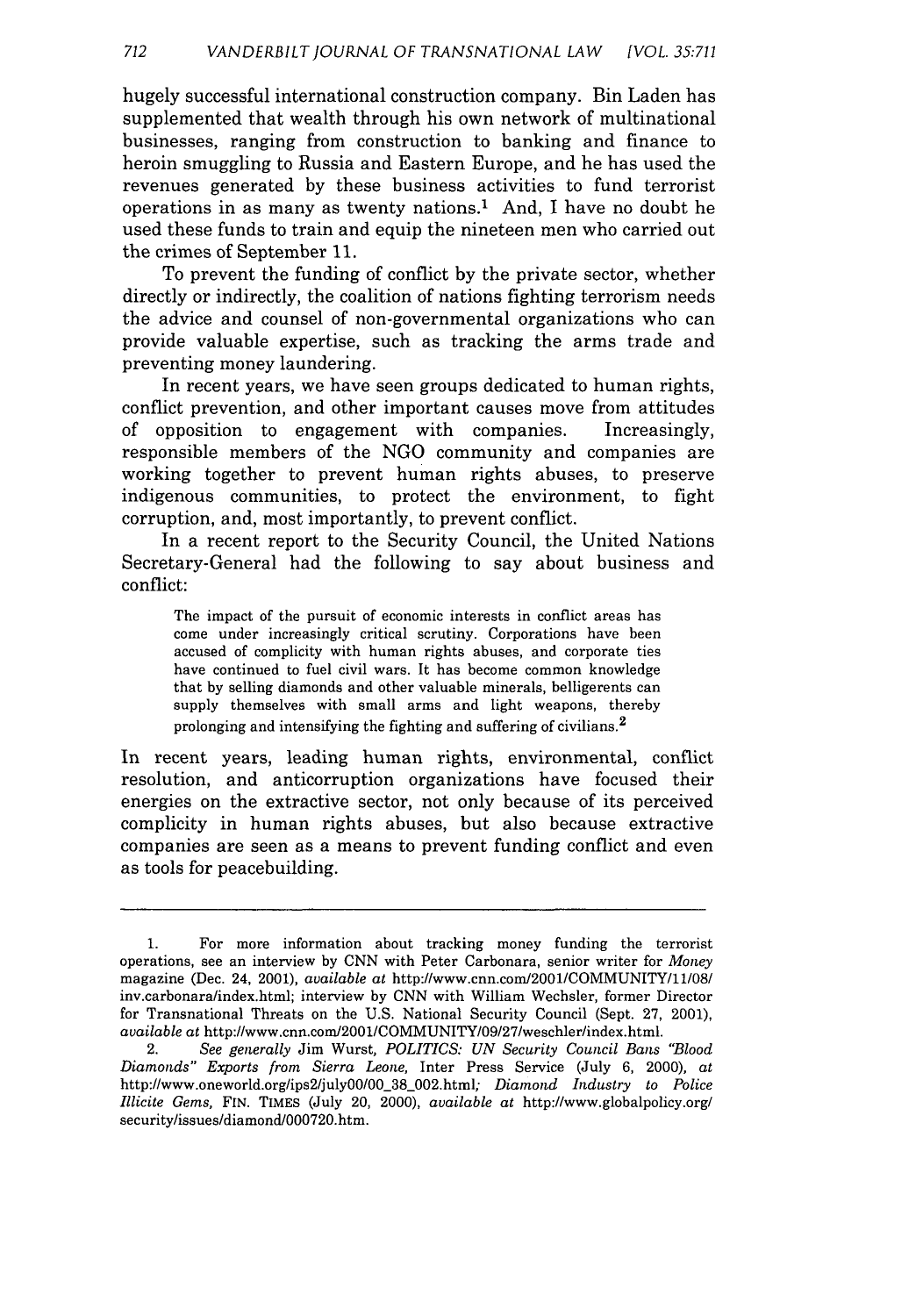hugely successful international construction company. Bin Laden has supplemented that wealth through his own network of multinational businesses, ranging from construction to banking and finance to heroin smuggling to Russia and Eastern Europe, and he has used the revenues generated by these business activities to fund terrorist operations in as many as twenty nations.<sup>1</sup> And, I have no doubt he used these funds to train and equip the nineteen men who carried out the crimes of September 11.

To prevent the funding of conflict by the private sector, whether directly or indirectly, the coalition of nations fighting terrorism needs the advice and counsel of non-governmental organizations who can provide valuable expertise, such as tracking the arms trade and preventing money laundering.

In recent years, we have seen groups dedicated to human rights, conflict prevention, and other important causes move from attitudes of opposition to engagement with companies. Increasingly, responsible members of the NGO community and companies are working together to prevent human rights abuses, to preserve indigenous communities, to protect the environment, to fight corruption, and, most importantly, to prevent conflict.

In a recent report to the Security Council, the United Nations Secretary-General had the following to say about business and conflict:

The impact of the pursuit of economic interests in conflict areas has come under increasingly critical scrutiny. Corporations have been accused of complicity with human rights abuses, and corporate ties have continued to fuel civil wars. It has become common knowledge that by selling diamonds and other valuable minerals, belligerents can supply themselves with small arms and light weapons, thereby prolonging and intensifying the fighting and suffering of civilians.<sup>2</sup>

In recent years, leading human rights, environmental, conflict resolution, and anticorruption organizations have focused their energies on the extractive sector, not only because of its perceived complicity in human rights abuses, but also because extractive companies are seen as a means to prevent funding conflict and even as tools for peacebuilding.

<sup>1.</sup> For more information about tracking money funding the terrorist operations, see an interview by CNN with Peter Carbonara, senior writer for *Money* magazine (Dec. 24, 2001), *available* at http://www.cnn.com/2001/COMMUNITY/11/08/ inv.carbonara/index.html; interview by CNN with William Wechsler, former Director for Transnational Threats on the U.S. National Security Council (Sept. 27, 2001), *available at* http://www.cnn.com/2001/COMMUNITY/09/27/weschler/index.html.

<sup>2.</sup> *See generally* Jim Wurst, *POLITICS: UN Security Council Bans "Blood Diamonds" Exports from Sierra Leone,* Inter Press Service (July 6, 2000), *at* http://www.oneworld.org/ips2/julyOO00 38 002.html; *Diamond Industry to Police Illicite Gems,* FIN. TIMEs (July 20, 2000), *available at* http://www.globalpolicy.org/ security/issues/diamond/000720.htm.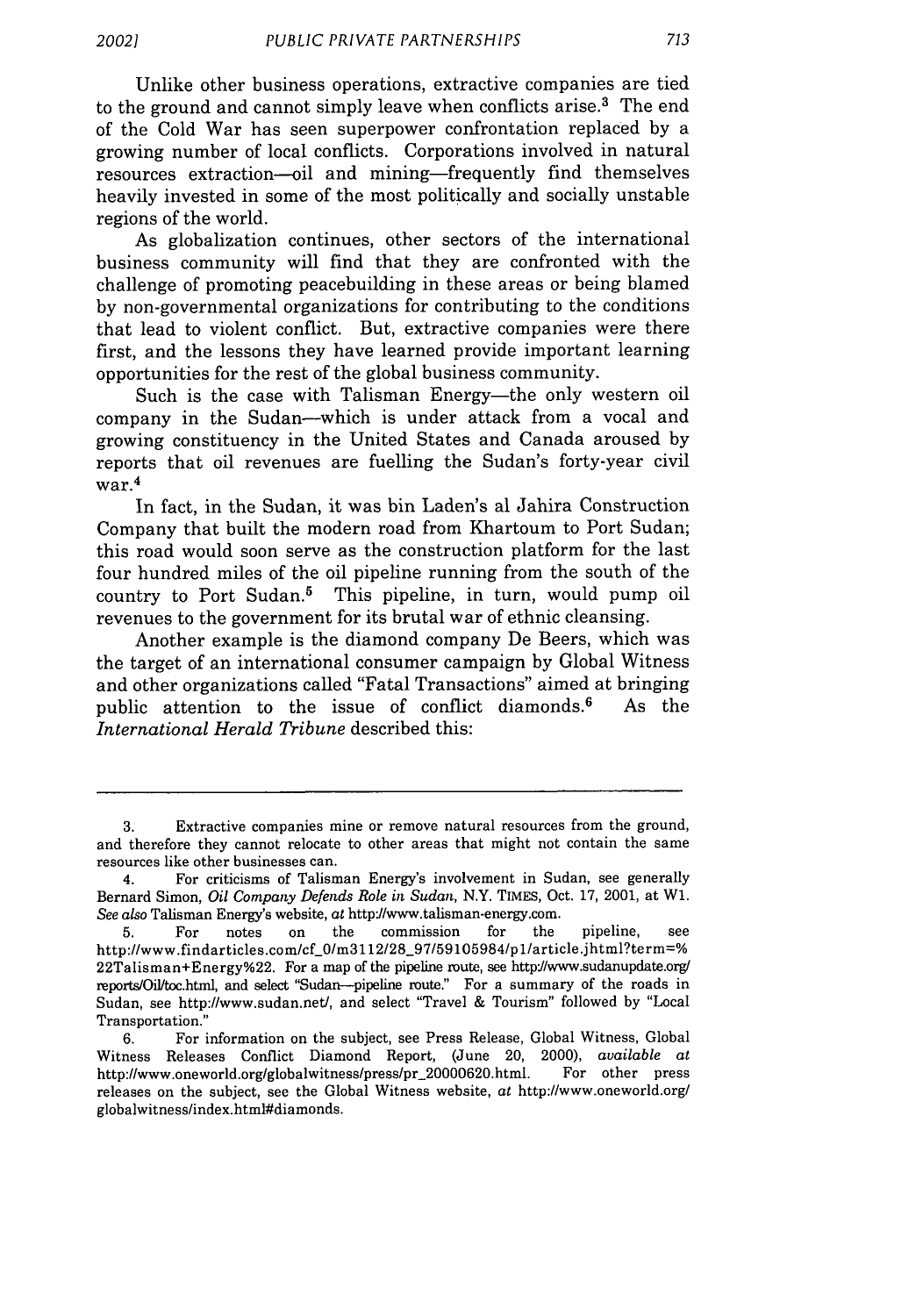Unlike other business operations, extractive companies are tied to the ground and cannot simply leave when conflicts arise.<sup>3</sup> The end of the Cold War has seen superpower confrontation replaced by a growing number of local conflicts. Corporations involved in natural resources extraction-oil and mining-frequently find themselves heavily invested in some of the most politically and socially unstable regions of the world.

As globalization continues, other sectors of the international business community will find that they are confronted with the challenge of promoting peacebuilding in these areas or being blamed by non-governmental organizations for contributing to the conditions that lead to violent conflict. But, extractive companies were there first, and the lessons they have learned provide important learning opportunities for the rest of the global business community.

Such is the case with Talisman Energy—the only western oil company in the Sudan-which is under attack from a vocal and growing constituency in the United States and Canada aroused by reports that oil revenues are fuelling the Sudan's forty-year civil war. 4

In fact, in the Sudan, it was bin Laden's al Jahira Construction Company that built the modern road from Khartoum to Port Sudan; this road would soon serve as the construction platform for the last four hundred miles of the oil pipeline running from the south of the country to Port Sudan.<sup>5</sup> This pipeline, in turn, would pump oil revenues to the government for its brutal war of ethnic cleansing.

Another example is the diamond company De Beers, which was the target of an international consumer campaign by Global Witness and other organizations called "Fatal Transactions" aimed at bringing public attention to the issue of conflict diamonds.<sup>6</sup> As the *International Herald Tribune* described this:

<sup>3.</sup> Extractive companies mine or remove natural resources from the ground, and therefore they cannot relocate to other areas that might not contain the same resources like other businesses can.

<sup>4.</sup> For criticisms of Talisman Energy's involvement in Sudan, see generally Bernard Simon, *Oil Company Defends Role in Sudan,* N.Y. **TIMES,** Oct. **17,** 2001, at W1. *See also* Talisman Energy's website, at http://www.talisman-energy.com.

<sup>5.</sup> For notes on the commission for the pipeline, see  $http://www.findarticles.com/cf_0/m3112/28_97/59105984/p1/article.jhtml?term=%$ 22Talisman+Energy%22. For a map of the pipeline route, see httpJ/www.sudanupdate.org/ reports/Oil/toc.html, and select "Sudan-pipeline route." For a summary of the roads in Sudan, see http://www.sudan.net/, and select "Travel & Tourism" followed by "Local Transportation."

<sup>6.</sup> For information on the subject, see Press Release, Global Witness, Global Witness Releases Conflict Diamond Report, (June 20, 2000), *available at* http://www.oneworld.org/globalwitness/press/pr\_20000620.html. For other press releases on the subject, see the Global Witness website, at http://www.oneworld.org/ globalwitness/index.html#diamonds.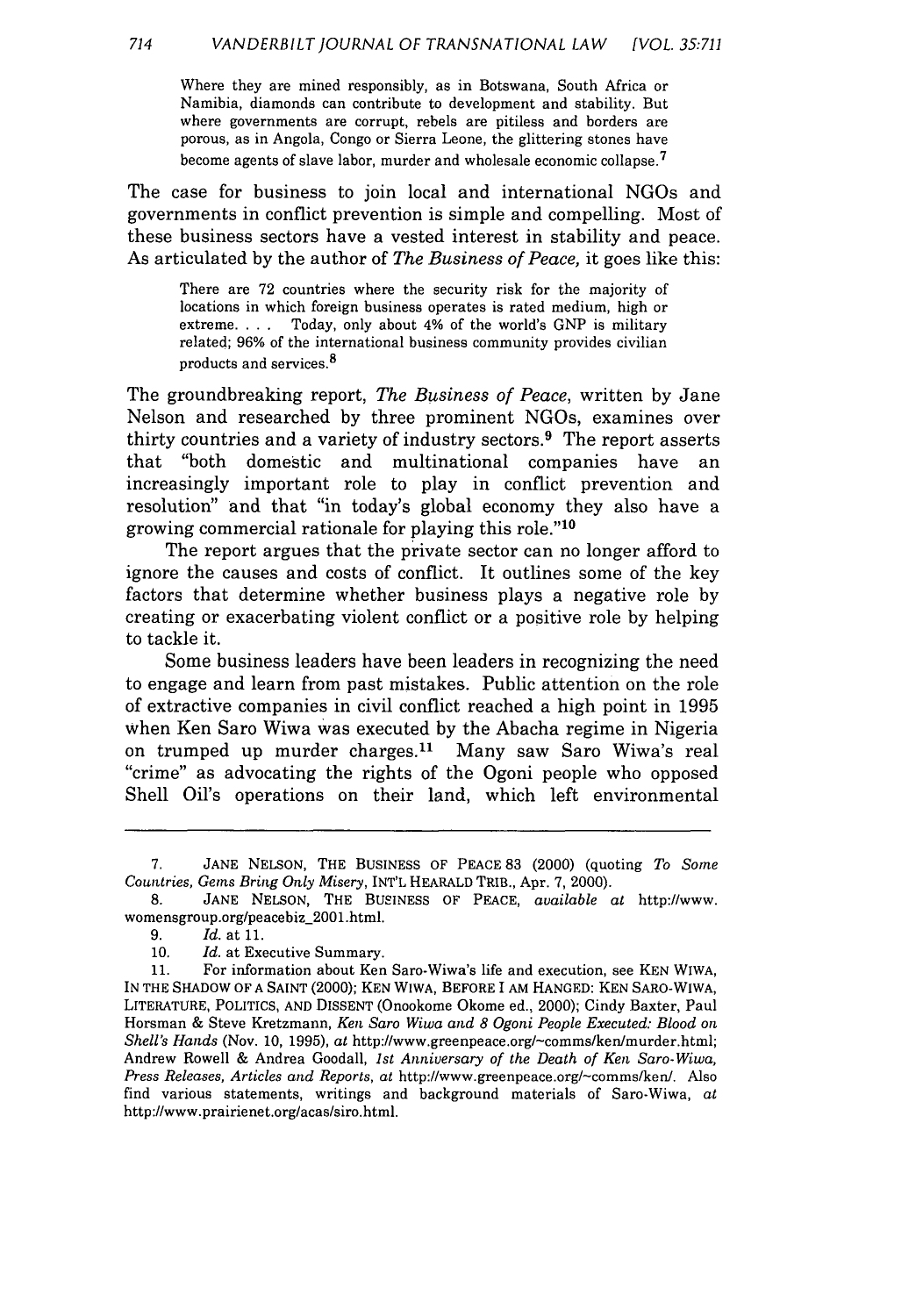Where they are mined responsibly, as in Botswana, South Africa or Namibia, diamonds can contribute to development and stability. But where governments are corrupt, rebels are pitiless and borders are porous, as in Angola, Congo or Sierra Leone, the glittering stones have become agents of slave labor, murder and wholesale economic collapse. <sup>7</sup>

The case for business to join local and international NGOs and governments in conflict prevention is simple and compelling. Most of these business sectors have a vested interest in stability and peace. As articulated by the author of *The Business of Peace,* it goes like this:

There are 72 countries where the security risk for the majority of locations in which foreign business operates is rated medium, high or extreme.... Today, only about 4% of the world's GNP is military related; 96% of the international business community provides civilian products and services. <sup>8</sup>

The groundbreaking report, *The Business of Peace,* written by Jane Nelson and researched by three prominent NGOs, examines over thirty countries and a variety of industry sectors.<sup>9</sup> The report asserts that "both domestic and multinational companies have an increasingly important role to play in conflict prevention and resolution" and that "in today's global economy they also have a growing commercial rationale for playing this role." <sup>10</sup>

The report argues that the private sector can no longer afford to ignore the causes and costs of conflict. It outlines some of the key factors that determine whether business plays a negative role by creating or exacerbating violent conflict or a positive role by helping to tackle it.

Some business leaders have been leaders in recognizing the need to engage and learn from past mistakes. Public attention on the role of extractive companies in civil conflict reached a high point in 1995 when Ken Saro Wiwa was executed by the Abacha regime in Nigeria on trumped up murder charges.<sup>11</sup> Many saw Saro Wiwa's real "crime" as advocating the rights of the Ogoni people who opposed Shell Oil's operations on their land, which left environmental

<sup>7.</sup> JANE NELSON, THE BUSINESS OF PEACE 83 (2000) (quoting *To Some* Countries, *Gems* Bring *Only* Misery, INT'L HEARALD TRiB., Apr. 7, 2000).

<sup>8.</sup> JANE NELSON, THE BUSINESS OF PEACE, available at http://www. womensgroup.org/peacebiz\_2001.html.

<sup>9.</sup> Id. at 11.

<sup>10.</sup> Id. at Executive Summary.

<sup>11.</sup> For information about Ken Saro-Wiwa's life and execution, see KEN WIWA, IN THE SHADOW OF A SAINT (2000); KEN WIWA, BEFORE I AM HANGED: KEN SARO-WIWA, LITERATURE, POLITICS, AND DISSENT (Onookome Okome ed., 2000); Cindy Baxter, Paul Horsman & Steve Kretzmann, Ken Saro Wiwa and *8 Ogoni People Executed: Blood on Shell's Hands* (Nov. 10, 1995), at http://www.greenpeace.org/-comms/ken/murder.html; Andrew Rowell & Andrea Goodall, *1st Anniversary of the Death of Ken Saro-Wiwa, Press Releases, Articles and Reports, at* http://www.greenpeace.org/-comms/ken/. Also find various statements, writings and background materials of Saro-Wiwa, *at* http://www.prairienet.org/acas/siro.html.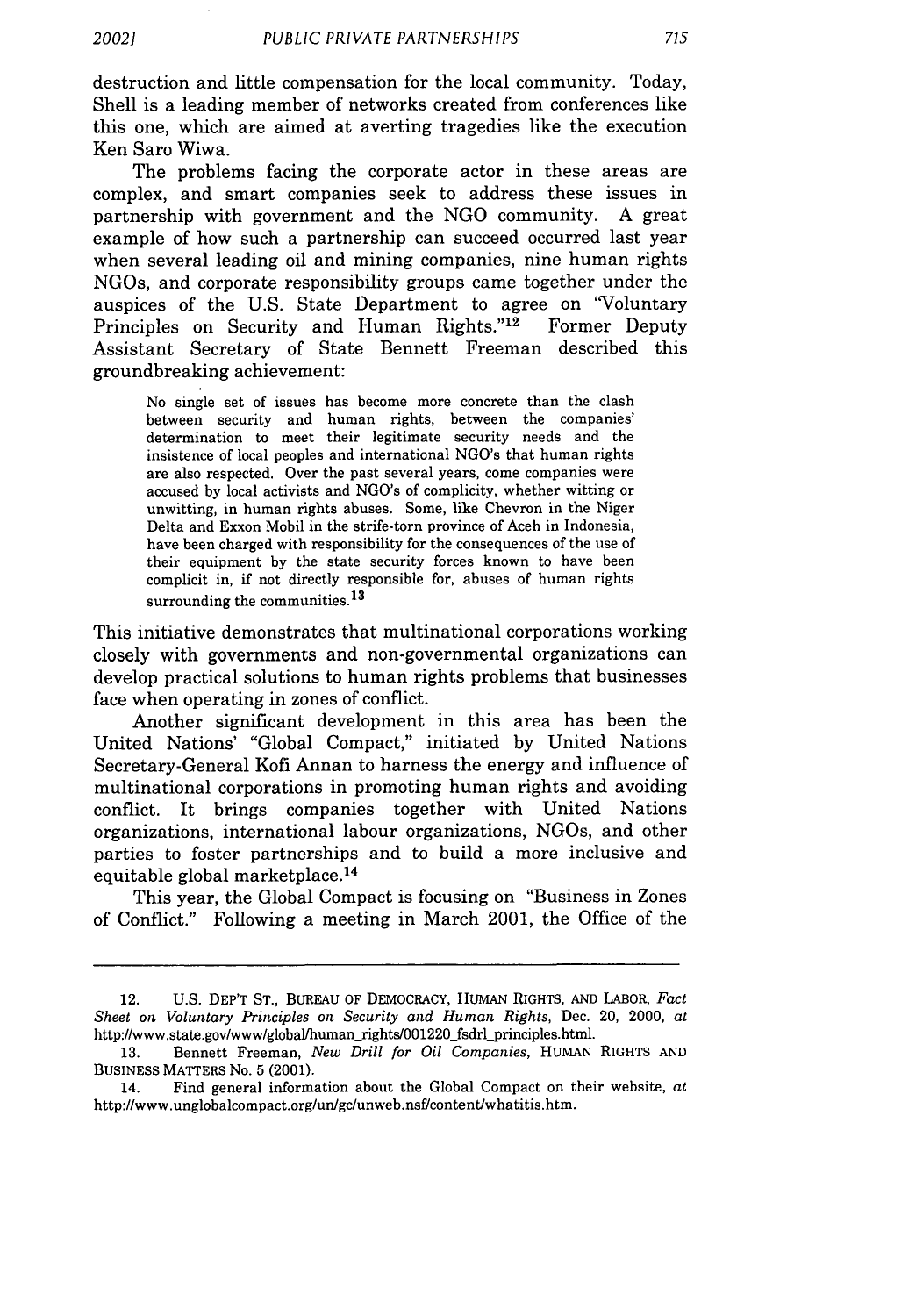destruction and little compensation for the local community. Today, Shell is a leading member of networks created from conferences like this one, which are aimed at averting tragedies like the execution Ken Saro Wiwa.

The problems facing the corporate actor in these areas are complex, and smart companies seek to address these issues in partnership with government and the NGO community. A great example of how such a partnership can succeed occurred last year when several leading oil and mining companies, nine human rights NGOs, and corporate responsibility groups came together under the auspices of the U.S. State Department to agree on "Voluntary Principles on Security and Human Rights."<sup>12</sup> Former Deputy Assistant Secretary of State Bennett Freeman described this groundbreaking achievement:

No single set of issues has become more concrete than the clash between security and human rights, between the companies' determination to meet their legitimate security needs and the insistence of local peoples and international NGO's that human rights are also respected. Over the past several years, come companies were accused by local activists and NGO's of complicity, whether witting or unwitting, in human rights abuses. Some, like Chevron in the Niger Delta and Exxon Mobil in the strife-torn province of Aceh in Indonesia, have been charged with responsibility for the consequences of the use of their equipment by the state security forces known to have been complicit in, if not directly responsible for, abuses of human rights surrounding the communities.<sup>13</sup>

This initiative demonstrates that multinational corporations working closely with governments and non-governmental organizations can develop practical solutions to human rights problems that businesses face when operating in zones of conflict.

Another significant development in this area has been the United Nations' "Global Compact," initiated by United Nations Secretary-General Kofi Annan to harness the energy and influence of multinational corporations in promoting human rights and avoiding conflict. It brings companies together with United Nations organizations, international labour organizations, NGOs, and other parties to foster partnerships and to build a more inclusive and equitable global marketplace.<sup>14</sup>

This year, the Global Compact is focusing on "Business in Zones of Conflict." Following a meeting in March 2001, the Office of the

<sup>12.</sup> U.S. DEP'T ST., BUREAU OF DEMoCRACY, HUMAN RIGHTS, AND LABOR, *Fact Sheet on Voluntary Principles on Security and Human Rights,* Dec. 20, 2000, at http://www.state.gov/www/global/human-rights/001220\_fsdrl-principles.html.

<sup>13.</sup> Bennett Freeman, *New Drill for Oil Companies,* HUMAN RIGHTS AND BUSINESS MATTERS No. 5 (2001).

<sup>14.</sup> Find general information about the Global Compact on their website, *at* http://www.unglobalcompact.org/un/gc/unweb.nsf/content/whatitis.htm.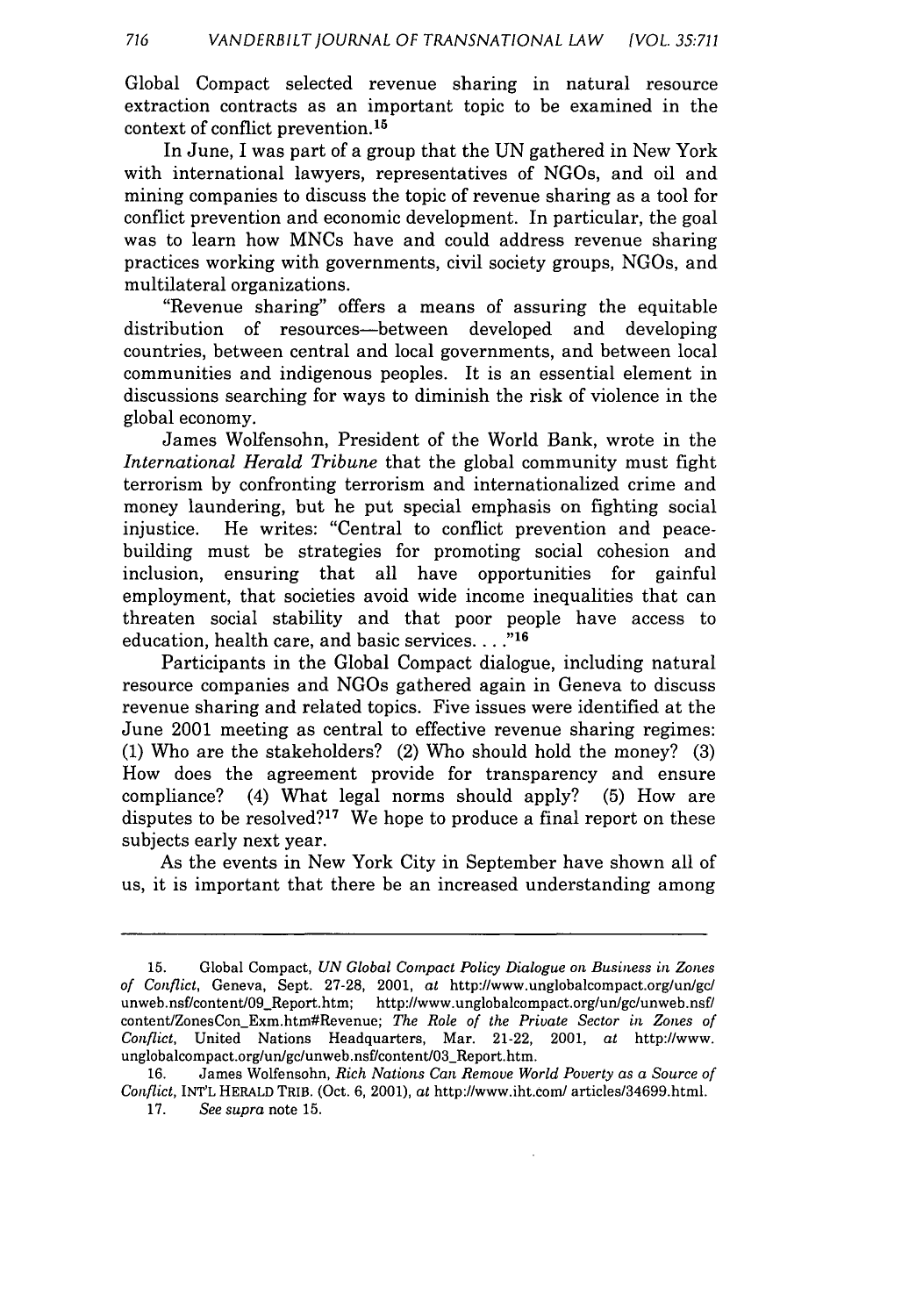Global Compact selected revenue sharing in natural resource extraction contracts as an important topic to be examined in the context of conflict prevention. <sup>15</sup>

In June, I was part of a group that the UN gathered in New York with international lawyers, representatives of NGOs, and oil and mining companies to discuss the topic of revenue sharing as a tool for conflict prevention and economic development. In particular, the goal was to learn how MNCs have and could address revenue sharing practices working with governments, civil society groups, NGOs, and multilateral organizations.

"Revenue sharing" offers a means of assuring the equitable distribution of resources-between developed and developing countries, between central and local governments, and between local communities and indigenous peoples. It is an essential element in discussions searching for ways to diminish the risk of violence in the global economy.

James Wolfensohn, President of the World Bank, wrote in the *International Herald Tribune* that the global community must fight terrorism by confronting terrorism and internationalized crime and money laundering, but he put special emphasis on fighting social injustice. He writes: "Central to conflict prevention and peacebuilding must be strategies for promoting social cohesion and inclusion, ensuring that all have opportunities for gainful employment, that societies avoid wide income inequalities that can threaten social stability and that poor people have access to education, health care, and basic services.... **,**

Participants in the Global Compact dialogue, including natural resource companies and NGOs gathered again in Geneva to discuss revenue sharing and related topics. Five issues were identified at the June 2001 meeting as central to effective revenue sharing regimes: (1) Who are the stakeholders? (2) Who should hold the money? (3) How does the agreement provide for transparency and ensure compliance? (4) What legal norms should apply? (5) How are disputes to be resolved?<sup>17</sup> We hope to produce a final report on these subjects early next year.

As the events in New York City in September have shown all of us, it is important that there be an increased understanding among

**<sup>15.</sup>** Global Compact, *UN Global Compact Policy Dialogue on Business in Zones of Conflict,* Geneva, Sept. 27-28, 2001, at http://www.unglobalcompact.org/un/gc/ unweb.nsf/content/09\_Report.htm; http://www.unglobalcompact.org/un/gc/unweb.nsf/ content/ZonesConExm.htm#Revenue; *The Role of the Private Sector in Zones of Conflict,* United Nations Headquarters, Mar. 21-22, 2001, at http://www. unglobalcompact.org/un/gc/unweb.nsf/content/03\_Report.htm.

<sup>16.</sup> James Wolfensohn, *Rich Nations Can Remove World Poverty as a Source of Conflict,* INT'L HERALD TRIB. (Oct. 6, 2001), at http://www.iht.com/ articles/34699.html. 17. *See supra* note 15.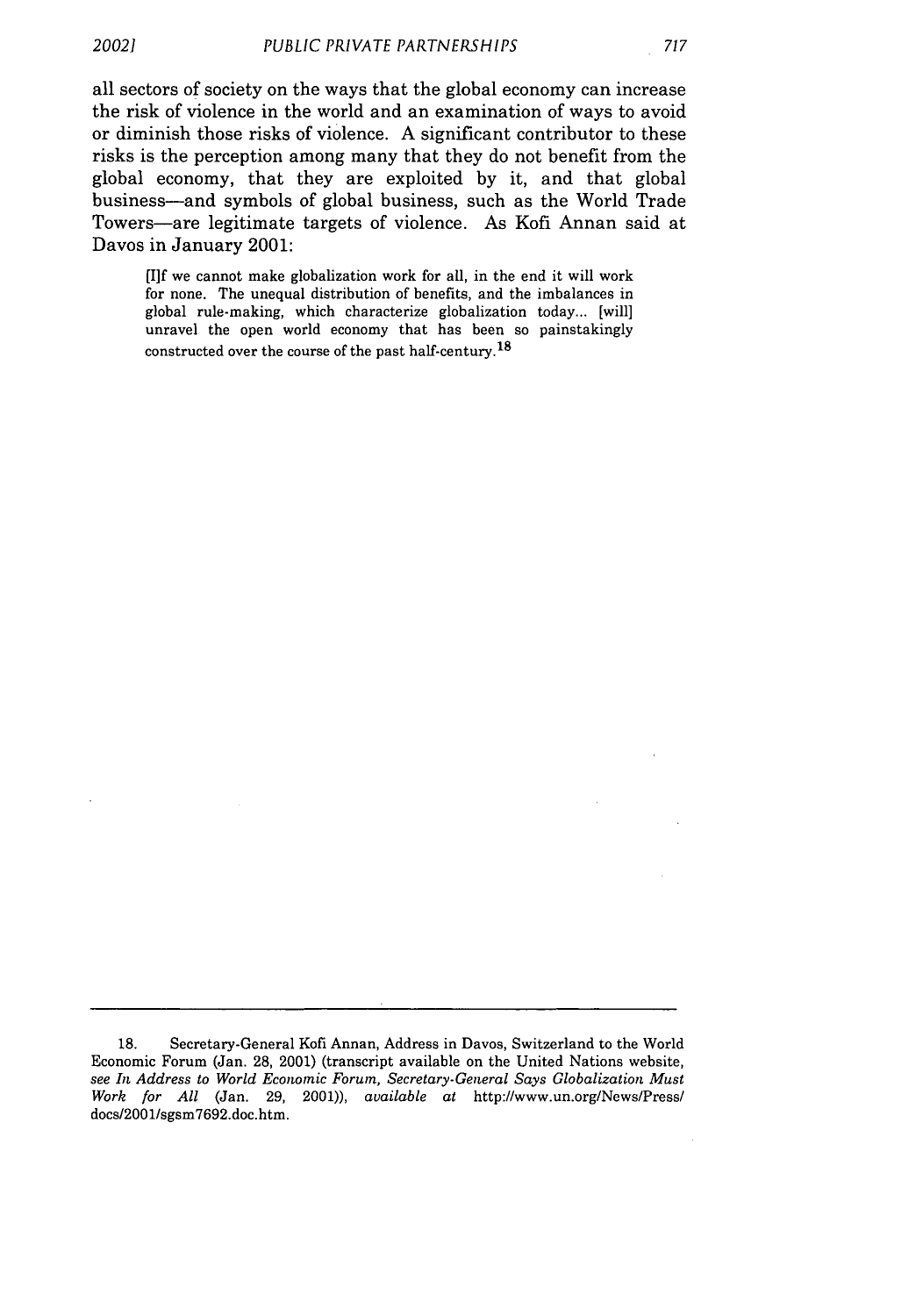*20021*

all sectors of society on the ways that the global economy can increase the risk of violence in the world and an examination of ways to avoid or diminish those risks of violence. **A** significant contributor to these risks is the perception among many that they do not benefit from the global economy, that they are exploited **by** it, and that global business-and symbols of global business, such as the World Trade Towers-are legitimate targets of violence. As Kofi Annan said at Davos in January 2001:

**[I]f** we cannot make globalization work for all, in the end it will work for none. The unequal distribution of benefits, and the imbalances in global rule-making, which characterize globalization today... [will] unravel the open world economy that has been so painstakingly constructed over the course of the past half-century.<sup>18</sup>

**<sup>18.</sup>** Secretary-General Kofi Annan, Address in Davos, Switzerland to the World Economic Forum (Jan. 28, 2001) (transcript available on the United Nations website, *see In Address to World Economic Forum, Secretary-General Says Globalization Must Work for All* (Jan. 29, 2001)), *available at* http://www.un.org/News/Press/ docs/2001/sgsm7692.doc.htm.